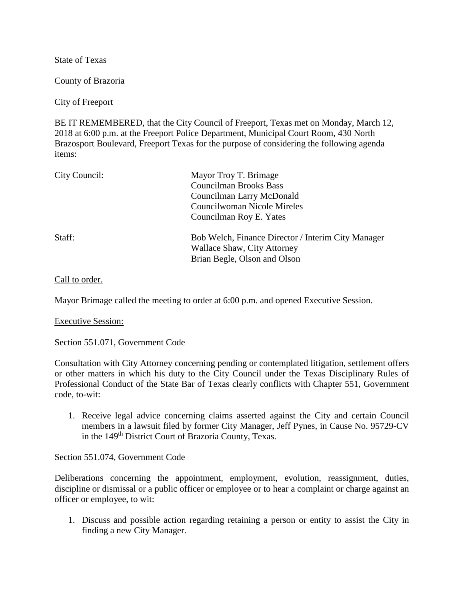State of Texas

County of Brazoria

City of Freeport

BE IT REMEMBERED, that the City Council of Freeport, Texas met on Monday, March 12, 2018 at 6:00 p.m. at the Freeport Police Department, Municipal Court Room, 430 North Brazosport Boulevard, Freeport Texas for the purpose of considering the following agenda items:

| City Council: | Mayor Troy T. Brimage<br><b>Councilman Brooks Bass</b><br>Councilman Larry McDonald<br><b>Councilwoman Nicole Mireles</b><br>Councilman Roy E. Yates |
|---------------|------------------------------------------------------------------------------------------------------------------------------------------------------|
| Staff:        | Bob Welch, Finance Director / Interim City Manager<br><b>Wallace Shaw, City Attorney</b><br>Brian Begle, Olson and Olson                             |

## Call to order.

Mayor Brimage called the meeting to order at 6:00 p.m. and opened Executive Session.

Executive Session:

Section 551.071, Government Code

Consultation with City Attorney concerning pending or contemplated litigation, settlement offers or other matters in which his duty to the City Council under the Texas Disciplinary Rules of Professional Conduct of the State Bar of Texas clearly conflicts with Chapter 551, Government code, to-wit:

1. Receive legal advice concerning claims asserted against the City and certain Council members in a lawsuit filed by former City Manager, Jeff Pynes, in Cause No. 95729-CV in the 149<sup>th</sup> District Court of Brazoria County, Texas.

Section 551.074, Government Code

Deliberations concerning the appointment, employment, evolution, reassignment, duties, discipline or dismissal or a public officer or employee or to hear a complaint or charge against an officer or employee, to wit:

1. Discuss and possible action regarding retaining a person or entity to assist the City in finding a new City Manager.